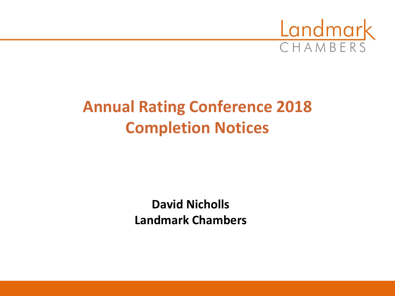

# **Annual Rating Conference 2018 Completion Notices**

**David Nicholls Landmark Chambers**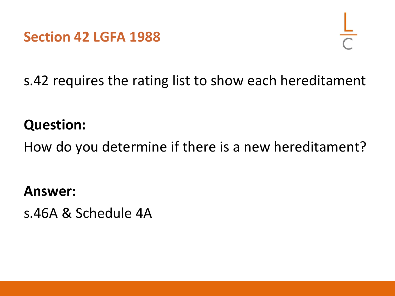**Section 42 LGFA 1988**



s.42 requires the rating list to show each hereditament

# **Question:**

How do you determine if there is a new hereditament?

**Answer:**

s.46A & Schedule 4A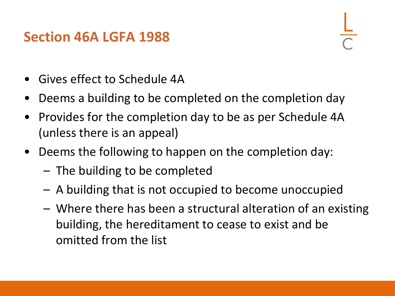## **Section 46A LGFA 1988**

- Gives effect to Schedule 4A
- Deems a building to be completed on the completion day
- Provides for the completion day to be as per Schedule 4A (unless there is an appeal)
- Deems the following to happen on the completion day:
	- The building to be completed
	- A building that is not occupied to become unoccupied
	- Where there has been a structural alteration of an existing building, the hereditament to cease to exist and be omitted from the list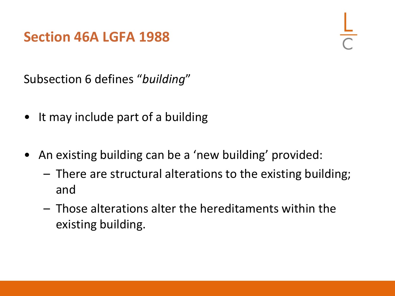## **Section 46A LGFA 1988**

Subsection 6 defines "*building*"

- It may include part of a building
- An existing building can be a 'new building' provided:
	- There are structural alterations to the existing building; and
	- Those alterations alter the hereditaments within the existing building.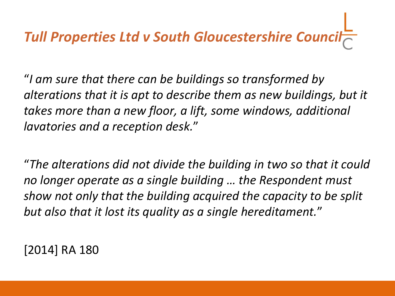# *Tull Properties Ltd v South Gloucestershire Council*

"*I am sure that there can be buildings so transformed by alterations that it is apt to describe them as new buildings, but it takes more than a new floor, a lift, some windows, additional lavatories and a reception desk.*"

"*The alterations did not divide the building in two so that it could no longer operate as a single building … the Respondent must show not only that the building acquired the capacity to be split but also that it lost its quality as a single hereditament.*"

[2014] RA 180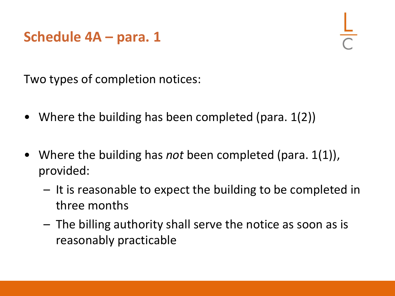## **Schedule 4A – para. 1**

Two types of completion notices:

- Where the building has been completed (para. 1(2))
- Where the building has *not* been completed (para. 1(1)), provided:
	- It is reasonable to expect the building to be completed in three months
	- The billing authority shall serve the notice as soon as is reasonably practicable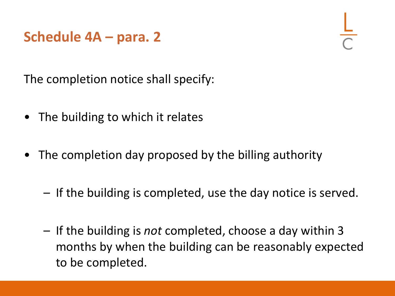## **Schedule 4A – para. 2**

The completion notice shall specify:

- The building to which it relates
- The completion day proposed by the billing authority
	- If the building is completed, use the day notice is served.
	- If the building is *not* completed, choose a day within 3 months by when the building can be reasonably expected to be completed.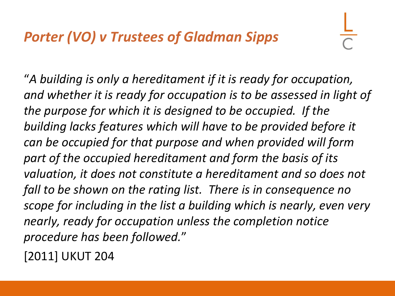"*A building is only a hereditament if it is ready for occupation, and whether it is ready for occupation is to be assessed in light of the purpose for which it is designed to be occupied. If the building lacks features which will have to be provided before it can be occupied for that purpose and when provided will form part of the occupied hereditament and form the basis of its valuation, it does not constitute a hereditament and so does not fall to be shown on the rating list. There is in consequence no scope for including in the list a building which is nearly, even very nearly, ready for occupation unless the completion notice procedure has been followed.*"

[2011] UKUT 204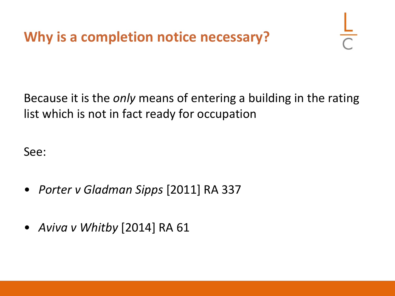

Because it is the *only* means of entering a building in the rating list which is not in fact ready for occupation

See:

- *Porter v Gladman Sipps* [2011] RA 337
- *Aviva v Whitby* [2014] RA 61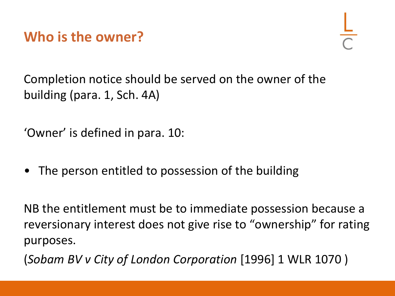**Who is the owner?**

Completion notice should be served on the owner of the building (para. 1, Sch. 4A)

'Owner' is defined in para. 10:

• The person entitled to possession of the building

NB the entitlement must be to immediate possession because a reversionary interest does not give rise to "ownership" for rating purposes.

(*Sobam BV v City of London Corporation* [1996] 1 WLR 1070 )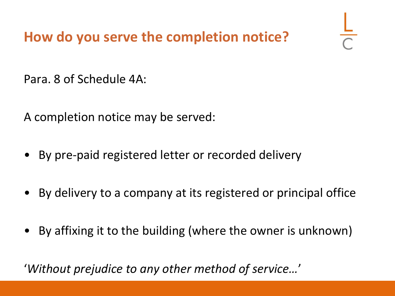**How do you serve the completion notice?**

Para. 8 of Schedule 4A:

A completion notice may be served:

- By pre-paid registered letter or recorded delivery
- By delivery to a company at its registered or principal office
- By affixing it to the building (where the owner is unknown)

'*Without prejudice to any other method of service…*'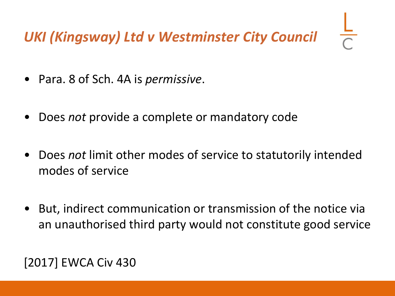# *UKI (Kingsway) Ltd v Westminster City Council*

- Para. 8 of Sch. 4A is *permissive*.
- Does *not* provide a complete or mandatory code
- Does *not* limit other modes of service to statutorily intended modes of service
- But, indirect communication or transmission of the notice via an unauthorised third party would not constitute good service

#### [2017] EWCA Civ 430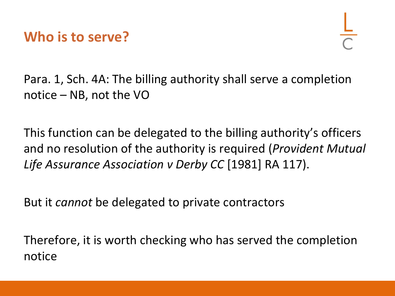

Para. 1, Sch. 4A: The billing authority shall serve a completion notice – NB, not the VO

This function can be delegated to the billing authority's officers and no resolution of the authority is required (*Provident Mutual Life Assurance Association v Derby CC* [1981] RA 117).

But it *cannot* be delegated to private contractors

Therefore, it is worth checking who has served the completion notice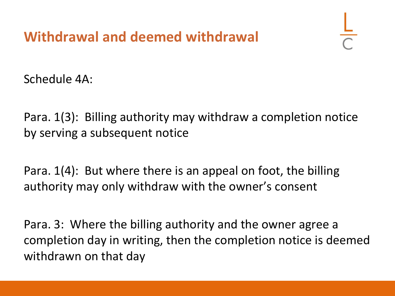Schedule 4A:

Para. 1(3): Billing authority may withdraw a completion notice by serving a subsequent notice

Para. 1(4): But where there is an appeal on foot, the billing authority may only withdraw with the owner's consent

Para. 3: Where the billing authority and the owner agree a completion day in writing, then the completion notice is deemed withdrawn on that day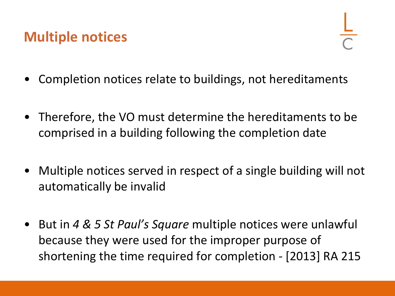# **Multiple notices**

- Completion notices relate to buildings, not hereditaments
- Therefore, the VO must determine the hereditaments to be comprised in a building following the completion date
- Multiple notices served in respect of a single building will not automatically be invalid
- But in *4 & 5 St Paul's Square* multiple notices were unlawful because they were used for the improper purpose of shortening the time required for completion - [2013] RA 215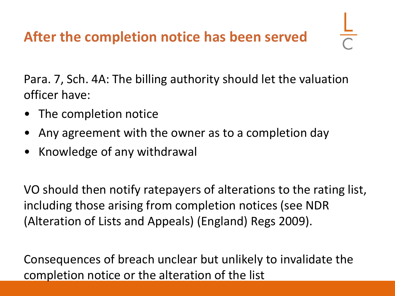Para. 7, Sch. 4A: The billing authority should let the valuation officer have:

- The completion notice
- Any agreement with the owner as to a completion day
- Knowledge of any withdrawal

VO should then notify ratepayers of alterations to the rating list, including those arising from completion notices (see NDR (Alteration of Lists and Appeals) (England) Regs 2009).

Consequences of breach unclear but unlikely to invalidate the completion notice or the alteration of the list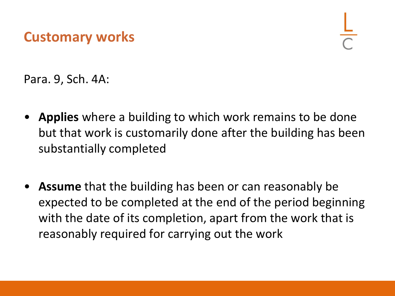## **Customary works**

Para. 9, Sch. 4A:

- **Applies** where a building to which work remains to be done but that work is customarily done after the building has been substantially completed
- **Assume** that the building has been or can reasonably be expected to be completed at the end of the period beginning with the date of its completion, apart from the work that is reasonably required for carrying out the work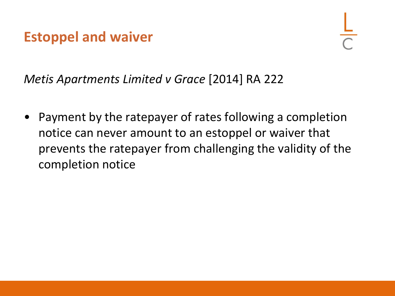# **Estoppel and waiver**

*Metis Apartments Limited v Grace* [2014] RA 222

• Payment by the ratepayer of rates following a completion notice can never amount to an estoppel or waiver that prevents the ratepayer from challenging the validity of the completion notice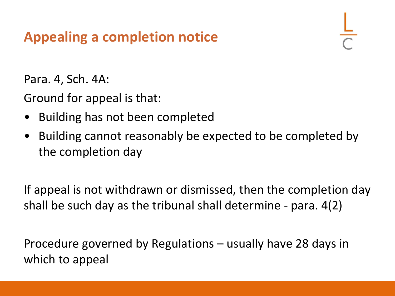# **Appealing a completion notice**

Para. 4, Sch. 4A:

Ground for appeal is that:

- Building has not been completed
- Building cannot reasonably be expected to be completed by the completion day

If appeal is not withdrawn or dismissed, then the completion day shall be such day as the tribunal shall determine - para. 4(2)

Procedure governed by Regulations – usually have 28 days in which to appeal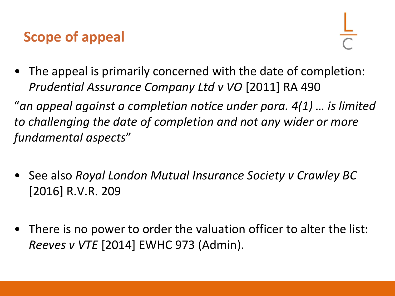# **Scope of appeal**

• The appeal is primarily concerned with the date of completion: *Prudential Assurance Company Ltd v VO* [2011] RA 490

"*an appeal against a completion notice under para. 4(1) … is limited to challenging the date of completion and not any wider or more fundamental aspects*"

- See also *Royal London Mutual Insurance Society v Crawley BC*  [2016] R.V.R. 209
- There is no power to order the valuation officer to alter the list: *Reeves v VTE* [2014] EWHC 973 (Admin).